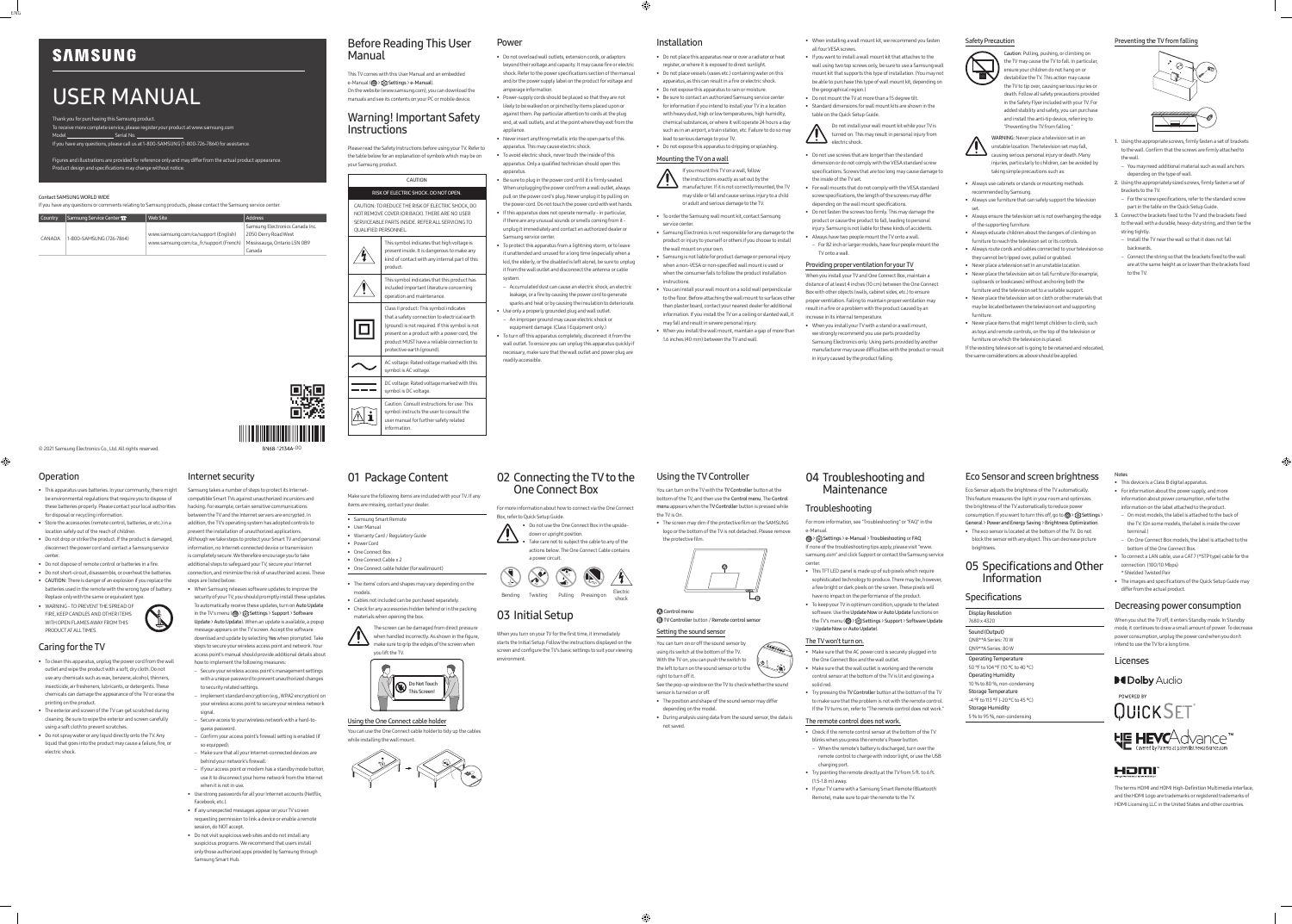© 2021 Samsung Electronics Co., Ltd. All rights reserved.

Thank you for purchasing this Samsung product. To receive more complete service, please register your product at www.samsung.com Model Serial No.

# USER MANUAL

If you have any questions, please call us at 1-800-SAMSUNG (1-800-726-7864) for assistance.

Figures and illustrations are provided for reference only and may differ from the actual product appearance.

Product design and specifications may change without notice.

## Before Reading This User Manual

This TV comes with this User Manual and an embedded e-Manual (@> {  $\odot$  > {  $\odot$  Settings > e-Manual). On the website (www.samsung.com), you can download the manuals and see its contents on your PC or mobile device.

## Warning! Important Safety Instructions

Please read the Safety Instructions before using your TV. Refer to the table below for an explanation of symbols which may be on your Samsung product.

CAUTION

## RISK OF ELECTRIC SHOCK. DO NOT OPEN.

CAUTION: TO REDUCE THE RISK OF ELECTRIC SHOCK, DO NOT REMOVE COVER (OR BACK). THERE ARE NO USER SERVICEABLE PARTS INSIDE. REFER ALL SERVICING TO QUALIFIED PERSONNEL.

| This symbol indicates that high voltage is<br>present inside. It is dangerous to make any<br>kind of contact with any internal part of this<br>product.                                                                                                               |
|-----------------------------------------------------------------------------------------------------------------------------------------------------------------------------------------------------------------------------------------------------------------------|
| This symbol indicates that this product has<br>included important literature concerning<br>operation and maintenance.                                                                                                                                                 |
| Class II product: This symbol indicates<br>that a safety connection to electrical earth<br>(ground) is not required. If this symbol is not<br>present on a product with a power cord, the<br>product MUST have a reliable connection to<br>protective earth (ground). |
| AC voltage: Rated voltage marked with this<br>symbol is AC voltage.                                                                                                                                                                                                   |
| DC voltage: Rated voltage marked with this<br>symbol is DC voltage.                                                                                                                                                                                                   |
| Caution, Consult instructions for use: This<br>symbol instructs the user to consult the<br>user manual for further safety related<br>information.                                                                                                                     |

#### Power

• When installing a wall mount kit, we recommend you fasten all four VESA screws

- Do not overload wall outlets, extension cords, or adaptors beyond their voltage and capacity. It may cause fire or electric shock. Refer to the power specifications section of the manual and/or the power supply label on the product for voltage and amperage information.
- Power-supply cords should be placed so that they are not likely to be walked on or pinched by items placed upon or against them. Pay particular attention to cords at the plug end, at wall outlets, and at the point where they exit from the appliance.
- Never insert anything metallic into the open parts of this apparatus. This may cause electric shock.
- To avoid electric shock, never touch the inside of this apparatus. Only a qualified technician should open this apparatus.
- Be sure to plug in the power cord until it is firmly seated. When unplugging the power cord from a wall outlet, always pull on the power cord's plug. Never unplug it by pulling on the power cord. Do not touch the power cord with wet hands. • If this apparatus does not operate normally - in particular,
- if there are any unusual sounds or smells coming from it unplug it immediately and contact an authorized dealer or Samsung service center • To protect this apparatus from a lightning storm, or to leave
- it unattended and unused for a long time (especially when a kid, the elderly, or the disabled is left alone), be sure to unplug it from the wall outlet and disconnect the antenna or cable system.
- Accumulated dust can cause an electric shock, an electric leakage, or a fire by causing the power cord to generate sparks and heat or by causing the insulation to deteriorate. • Use only a properly grounded plug and wall outlet.
- An improper ground may cause electric shock or equipment damage. (Class l Equipment only.)
- To turn off this apparatus completely, disconnect it from the wall outlet. To ensure you can unplug this apparatus quickly if necessary, make sure that the wall outlet and power plug are readily accessible.

## Installation

• Do not place this apparatus near or over a radiator or heat register, or where it is exposed to direct sunlight. • Do not place vessels (vases etc.) containing water on this apparatus, as this can result in a fire or electric shock.

• Do not expose this apparatus to rain or moisture. • Be sure to contact an authorized Samsung service center for information if you intend to install your TV in a location with heavy dust, high or low temperatures, high humidity, chemical substances, or where it will operate 24 hours a day such as in an airport, a train station, etc. Failure to do so may

lead to serious damage to your TV. • Do not expose this apparatus to dripping or splashing.

## Mounting the TV on a wall

If you mount this TV on a wall, follow the instructions exactly as set out by the

- 1. Using the appropriate screws, firmly fasten a set of brackets to the wall. Confirm that the screws are firmly attached to the wall.
- You may need additional material such as wall anchors depending on the type of wall.
- 2. Using the appropriately sized screws, firmly fasten a set of brackets to the TV.
- For the screw specifications, refer to the standard screw part in the table on the Quick Setup Guide.
- 3. Connect the brackets fixed to the TV and the brackets fixed to the wall with a durable, heavy-duty string, and then tie the string tightly.
- Install the TV near the wall so that it does not fall backwards.
- Connect the string so that the brackets fixed to the wall are at the same height as or lower than the brackets fixed to the TV

manufacturer. If it is not correctly mounted, the TV may slide or fall and cause serious injury to a child or adult and serious damage to the TV.

## • To order the Samsung wall mount kit, contact Samsung

- service center. • Samsung Electronics is not responsible for any damage to the product or injury to yourself or others if you choose to install the wall mount on your own.
- Samsung is not liable for product damage or personal injury when a non-VESA or non-specified wall mount is used or when the consumer fails to follow the product installation instructions.
- You can install your wall mount on a solid wall perpendicular to the floor. Before attaching the wall mount to surfaces other than plaster board, contact your nearest dealer for additional information. If you install the TV on a ceiling or slanted wall, it
- may fall and result in severe personal injury. • When you install the wall mount, maintain a gap of more than
- 1.6 inches (40 mm) between the TV and wall.

#### • If you want to install a wall mount kit that attaches to the wall using two top screws only, be sure to use a Samsung wall mount kit that supports this type of installation. (You may not be able to purchase this type of wall mount kit, depending on

the geographical region.)

• Do not mount the TV at more than a 15 degree tilt. • Standard dimensions for wall mount kits are shown in the table on the Quick Setup Guide.

- When Samsung releases software updates to improve the security of your TV, you should promptly install these updates.
- To automatically receive these updates, turn on Auto Update in the TV's menu ( $\textcircled{a}$ )  $\textcircled{c}$  Settings > Support > Software

Do not install your wall mount kit while your TV is turned on. This may result in personal injury from electric shock.

- Do not use screws that are longer than the standard dimension or do not comply with the VESA standard screw specifications. Screws that are too long may cause damage to the inside of the TV set.
- For wall mounts that do not comply with the VESA standard screw specifications, the length of the screws may differ depending on the wall mount specifications.
- Do not fasten the screws too firmly. This may damage the product or cause the product to fall, leading to personal injury. Samsung is not liable for these kinds of accidents.
- Always have two people mount the TV onto a wall. – For 82 inch or larger models, have four people mount the TV onto a wall.

## Providing proper ventilation for your TV

When you install your TV and One Connect Box, maintain a distance of at least 4 inches (10 cm) between the One Connect Box with other objects (walls, cabinet sides, etc.) to ensure proper ventilation. Failing to maintain proper ventilation may result in a fire or a problem with the product caused by an increase in its internal temperature.

you lift the TV.  $\Omega$  $\bigcap$  • When you install your TV with a stand or a wall mount, we strongly recommend you use parts provided by Samsung Electronics only. Using parts provided by another manufacturer may cause difficulties with the product or result in injury caused by the product falling.

#### Safety Precaution



Caution: Pulling, pushing, or climbing on

the TV may cause the TV to fall. In particular, ensure your children do not hang on or destabilize the TV. This action may cause the TV to tip over, causing serious injuries or death. Follow all safety precautions provided in the Safety Flyer included with your TV. For added stability and safety, you can purchase and install the anti-tip device, referring to "Preventing the TV from falling."

WARNING: Never place a television set in an unstable location. The television set may fall, causing serious personal injury or death. Many injuries, particularly to children, can be avoided by taking simple precautions such as:

 > Settings > e-Manual > Troubleshooting or FAQ If none of the troubleshooting tips apply, please visit "www. samsung.com" and click Support or contact the Samsung service cente

- Always use cabinets or stands or mounting methods
- recommended by Samsung. • Always use furniture that can safely support the television
- set. • Always ensure the television set is not overhanging the edge of the supporting furniture.
- Always educate children about the dangers of climbing on furniture to reach the television set or its control:
- Always route cords and cables connected to your television so they cannot be tripped over, pulled or grabbed.
- Never place a television set in an unstable location. • Never place the television set on tall furniture (for example,
- cupboards or bookcases) without anchoring both the furniture and the television set to a suitable support. • Never place the television set on cloth or other materials that
- may be located between the television set and supporting furniture. • Never place items that might tempt children to climb, such
- as toys and remote controls, on the top of the television or furniture on which the television is placed.

Eco Sensor adjusts the brightness of the TV automatically. This feature measures the light in your room and optimizes the brightness of the TV automatically to reduce power consumption. If you want to turn this off, go to @ > & Settings >

If the existing television set is going to be retained and relocated, the same considerations as above should be applied.

#### Preventing the TV from falling



#### Operation

 $\bigoplus$ 

- This apparatus uses batteries. In your community, there might be environmental regulations that require you to dispose of these batteries properly. Please contact your local authorities for disposal or recycling information.
- Store the accessories (remote control, batteries, or etc.) in a location safely out of the reach of children.
- Do not drop or strike the product. If the product is damaged, disconnect the power cord and contact a Samsung service center.
- Do not dispose of remote control or batteries in a fire.
- Do not short-circuit, disassemble, or overheat the batteries. • CAUTION: There is danger of an explosion if you replace the batteries used in the remote with the wrong type of battery.
- Replace only with the same or equivalent type. • WARNING - TO PREVENT THE SPREAD OF FIRE, KEEP CANDLES AND OTHER ITEMS WITH OPEN FLAMES AWAY FROM THIS



PRODUCT AT ALL TIMES.

#### Caring for the TV

- To clean this apparatus, unplug the power cord from the wall ith a soft, dry cloth. Do no use any chemicals such as wax, benzene, alcohol, thinners, insecticide, air fresheners, lubricants, or detergents. These chemicals can damage the appearance of the TV or erase the printing on the product.
- The exterior and screen of the TV can get scratched during cleaning. Be sure to wipe the exterior and screen carefully using a soft cloth to prevent scratches.
- Do not spray water or any liquid directly onto the TV. Any liquid that goes into the product may cause a failure, fire, or electric shock.

BN68-12134A-00

## Internet security

Samsung takes a number of steps to protect its Internetcompatible Smart TVs against unauthorized incursions and hacking. For example, certain sensitive communications between the TV and the Internet servers are encrypted. In addition, the TV's operating system has adopted controls to prevent the installation of unauthorized applications. Although we take steps to protect your Smart TV and personal information, no Internet-connected device or transmission is completely secure. We therefore encourage you to take additional steps to safeguard your TV, secure your Internet connection, and minimize the risk of unauthorized access. These steps are listed below:

Update > Auto Update). When an update is available, a popup message appears on the TV screen. Accept the software download and update by selecting Yes when prompted. Take steps to secure your wireless access point and network. Your access point's manual should provide additional details about

- how to implement the following measures: – Secure your wireless access point's management settings
- with a unique password to prevent unauthorized changes to security related settings. – Implement standard encryption (e.g., WPA2 encryption) on
- your wireless access point to secure your wireless network signal.
- Secure access to your wireless network with a hard-toguess password.
- Confirm your access point's firewall setting is enabled (if so equipped).
- Make sure that all your Internet-connected devices are behind your network's firewall. – If your access point or modem has a standby mode button,
- use it to disconnect your home network from the Internet when it is not in use.
- Use strong passwords for all your Internet accounts (Netflix, Facebook, etc.). • If any unexpected messages appear on your TV screen
- requesting permission to link a device or enable a remote session, do NOT accept.
- Do not visit suspicious web sites and do not install any suspicious programs. We recommend that users install only those authorized apps provided by Samsung through Samsung Smart Hub.

## 01 Package Content

Make sure the following items are included with your TV. If any items are missing, contact your dealer.

- Samsung Smart Remote
- User Manual
- Warranty Card / Regulatory Guide
- Power Cord
- One Connect Box • One Connect Cable x 2
- One Connect cable holder (for wallmount)
- The items' colors and shapes may vary depending on the
- models. • Cables not included can be purchased separately.
- Check for any accessories hidden behind or in the packing materials when opening the box.





## Using the One Connect cable holder

You can use the One Connect cable holder to tidy up the cables while installing the wall mount.



## 02 Connecting the TV to the One Connect Box

For more information about how to connect via the One Connect





## 03 Initial Setup

When you turn on your TV for the first time, it immediately starts the Initial Setup. Follow the instructions displayed on the screen and configure the TV's basic settings to suit your viewing environment.

## Using the TV Controller

You can turn on the TV with the TV Controller button at the bottom of the TV, and then use the Control menu. The Control menu appears when the TV Controller button is pressed while the TV is On.

• The screen may dim if the protective film on the SAMSUNG logo or the bottom of the TV is not detached. Please remove the protective film.



**A** Control menu

#### **B** TV Controller button / Remote control sensor

#### Setting the sound sensor

You can turn on or off the sound sensor by



right to turn off it. See the pop-up window on the TV to check whether the sound sensor is turned on or off.

- 
- The position and shape of the sound sensor may differ depending on the model.
- During analysis using data from the sound sensor, the data is not saved.

⊕



## 04 Troubleshooting and Maintenance

#### Troubleshooting

For more information, see "Troubleshooting" or "FAQ" in the e-Manual.

- This TFT LED panel is made up of sub pixels which require sophisticated technology to produce. There may be, however, a few bright or dark pixels on the screen. These pixels will have no impact on the performance of the product.
- To keep your TV in optimum condition, upgrade to the latest software. Use the Update Now or Auto Update functions on the TV's menu (  $\textcircled{a}$  > ξό} Settings > Support > Software Update > Update Now or Auto Update).

#### The TV won't turn on.

- Make sure that the AC power cord is securely plugged in to the One Connect Box and the wall outlet.
- Make sure that the wall outlet is working and the remote control sensor at the bottom of the TV is lit and glowing a
- solid red • Try pressing the TV Controller button at the bottom of the TV to make sure that the problem is not with the remote control. If the TV turns on, refer to "The remote control does not work."

#### The remote control does not work.

- Check if the remote control sensor at the bottom of the TV blinks when you press the remote's Power button. – When the remote's battery is discharged, turn over the remote control to charge with indoor light, or use the USB
- charging port. • Try pointing the remote directly at the TV from 5 ft. to 6 ft.
- (1.5-1.8 m) away. • If your TV came with a Samsung Smart Remote (Bluetooth
- Remote), make sure to pair the remote to the TV.

## Eco Sensor and screen brightness

General > Power and Energy Saving > Brightness Optimization. • The eco sensor is located at the bottom of the TV. Do not block the sensor with any object. This can decrease picture

brightness.

## 05 Specifications and Other Information

#### **Specifications**

## Display Resolution 7680 x 4320 Sound (Output)

QN8\*\*A Series: 70 W QN9\*\*A Series: 80 W Operating Temperature 50 °F to 104 °F (10 °C to 40 °C) Operating Humidity 10 % to 80 %, non-condensing Storage Temperature -4 °F to 113 °F (-20 °C to 45 °C)

Storage Humidity 5 % to 95 %, non-condensing Notes

- This device is a Class B digital apparatus.
- For information about the power supply, and more information about power consumption, refer to the
- information on the label attached to the product. – On most models, the label is attached to the back of
- the TV. (On some models, the label is inside the cover terminal.)
- On One Connect Box models, the label is attached to the bottom of the One Connect Box.
- To connect a LAN cable, use a CAT 7 (\*STP type) cable for the connection. (100/10 Mbps) \* Shielded Twisted Pair
- The images and specifications of the Quick Setup Guide may differ from the actual product.

#### Decreasing power consumption

When you shut the TV off, it enters Standby mode. In Standby mode, it continues to draw a small amount of power. To decrease power consumption, unplug the power cord when you don't intend to use the TV for a long time.

**DeDolby Audio** 

POWERED BY

## HƏMI

# Licenses



The terms HDMI and HDMI High-Definition Multimedia Interface, and the HDMI Logo are trademarks or registered trademarks of HDMI Licensing LLC in the United States and other countries.

# **SAMSUNG**

ENG

#### Contact SAMSUNG WORLD WIDE

If you have any questions or comments relating to Samsung products, please contact the Samsung service center.

| <b>Country</b> | Samsung Service Center 2 | Web Site                               | Address                         |
|----------------|--------------------------|----------------------------------------|---------------------------------|
| CANADA         | 1-800-SAMSUNG (726-7864) |                                        | Samsung Electronics Canada Inc. |
|                |                          | www.samsung.com/ca/support (English)   | 2050 Derry Road West            |
|                |                          | www.samsung.com/ca fr/support (French) | Mississauga, Ontario L5N 0B9    |
|                |                          |                                        | Canada                          |